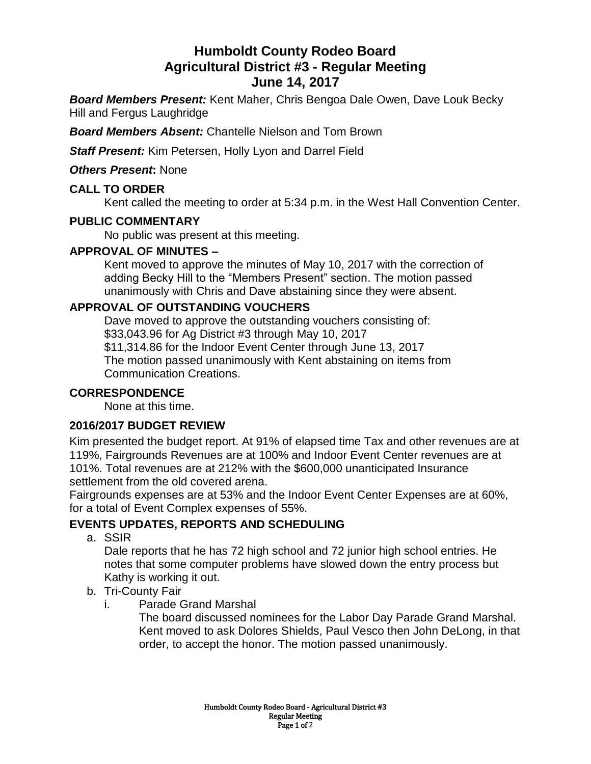# **Humboldt County Rodeo Board Agricultural District #3 - Regular Meeting June 14, 2017**

*Board Members Present:* Kent Maher, Chris Bengoa Dale Owen, Dave Louk Becky Hill and Fergus Laughridge

*Board Members Absent:* Chantelle Nielson and Tom Brown

*Staff Present:* Kim Petersen, Holly Lyon and Darrel Field

#### *Others Present***:** None

#### **CALL TO ORDER**

Kent called the meeting to order at 5:34 p.m. in the West Hall Convention Center.

#### **PUBLIC COMMENTARY**

No public was present at this meeting.

#### **APPROVAL OF MINUTES –**

Kent moved to approve the minutes of May 10, 2017 with the correction of adding Becky Hill to the "Members Present" section. The motion passed unanimously with Chris and Dave abstaining since they were absent.

## **APPROVAL OF OUTSTANDING VOUCHERS**

Dave moved to approve the outstanding vouchers consisting of: \$33,043.96 for Ag District #3 through May 10, 2017 \$11,314.86 for the Indoor Event Center through June 13, 2017 The motion passed unanimously with Kent abstaining on items from Communication Creations.

## **CORRESPONDENCE**

None at this time.

## **2016/2017 BUDGET REVIEW**

Kim presented the budget report. At 91% of elapsed time Tax and other revenues are at 119%, Fairgrounds Revenues are at 100% and Indoor Event Center revenues are at 101%. Total revenues are at 212% with the \$600,000 unanticipated Insurance settlement from the old covered arena.

Fairgrounds expenses are at 53% and the Indoor Event Center Expenses are at 60%, for a total of Event Complex expenses of 55%.

## **EVENTS UPDATES, REPORTS AND SCHEDULING**

a. SSIR

Dale reports that he has 72 high school and 72 junior high school entries. He notes that some computer problems have slowed down the entry process but Kathy is working it out.

- b. Tri-County Fair
	- i. Parade Grand Marshal

The board discussed nominees for the Labor Day Parade Grand Marshal. Kent moved to ask Dolores Shields, Paul Vesco then John DeLong, in that order, to accept the honor. The motion passed unanimously.